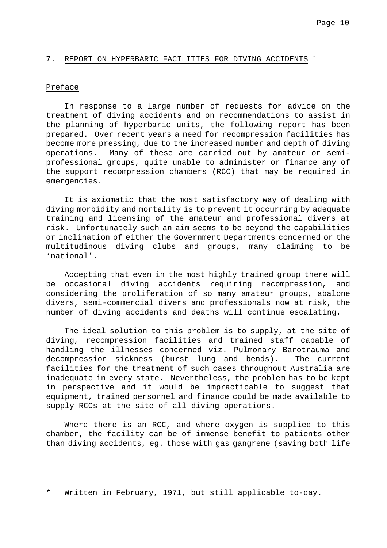### 7. REPORT ON HYPERBARIC FACILITIES FOR DIVING ACCIDENTS \*

#### Preface

In response to a large number of requests for advice on the treatment of diving accidents and on recommendations to assist in the planning of hyperbaric units, the following report has been prepared. Over recent years a need for recompression facilities has become more pressing, due to the increased number and depth of diving operations. Many of these are carried out by amateur or semiprofessional groups, quite unable to administer or finance any of the support recompression chambers (RCC) that may be required in emergencies.

It is axiomatic that the most satisfactory way of dealing with diving morbidity and mortality is to prevent it occurring by adequate training and licensing of the amateur and professional divers at risk. Unfortunately such an aim seems to be beyond the capabilities or inclination of either the Government Departments concerned or the multitudinous diving clubs and groups, many claiming to be 'national'.

Accepting that even in the most highly trained group there will be occasional diving accidents requiring recompression, and considering the proliferation of so many amateur groups, abalone divers, semi-commercial divers and professionals now at risk, the number of diving accidents and deaths will continue escalating.

The ideal solution to this problem is to supply, at the site of diving, recompression facilities and trained staff capable of handling the illnesses concerned viz. Pulmonary Barotrauma and decompression sickness (burst lung and bends). The current facilities for the treatment of such cases throughout Australia are inadequate in every state. Nevertheless, the problem has to be kept in perspective and it would be impracticable to suggest that equipment, trained personnel and finance could be made available to supply RCCs at the site of all diving operations.

Where there is an RCC, and where oxygen is supplied to this chamber, the facility can be of immense benefit to patients other than diving accidents, eg. those with gas gangrene (saving both life

Written in February, 1971, but still applicable to-day.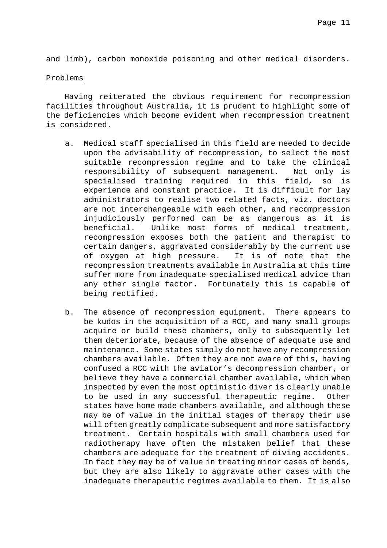and limb), carbon monoxide poisoning and other medical disorders.

## Problems

Having reiterated the obvious requirement for recompression facilities throughout Australia, it is prudent to highlight some of the deficiencies which become evident when recompression treatment is considered.

- a. Medical staff specialised in this field are needed to decide upon the advisability of recompression, to select the most suitable recompression regime and to take the clinical responsibility of subsequent management. Not only is specialised training required in this field, so is experience and constant practice. It is difficult for lay administrators to realise two related facts, viz. doctors are not interchangeable with each other, and recompression injudiciously performed can be as dangerous as it is beneficial. Unlike most forms of medical treatment, recompression exposes both the patient and therapist to certain dangers, aggravated considerably by the current use of oxygen at high pressure. It is of note that the recompression treatments available in Australia at this time suffer more from inadequate specialised medical advice than any other single factor. Fortunately this is capable of being rectified.
- b. The absence of recompression equipment. There appears to be kudos in the acquisition of a RCC, and many small groups acquire or build these chambers, only to subsequently let them deteriorate, because of the absence of adequate use and maintenance. Some states simply do not have any recompression chambers available. Often they are not aware of this, having confused a RCC with the aviator's decompression chamber, or believe they have a commercial chamber available, which when inspected by even the most optimistic diver is clearly unable to be used in any successful therapeutic regime. Other states have home made chambers available, and although these may be of value in the initial stages of therapy their use will often greatly complicate subsequent and more satisfactory treatment. Certain hospitals with small chambers used for radiotherapy have often the mistaken belief that these chambers are adequate for the treatment of diving accidents. In fact they may be of value in treating minor cases of bends, but they are also likely to aggravate other cases with the inadequate therapeutic regimes available to them. It is also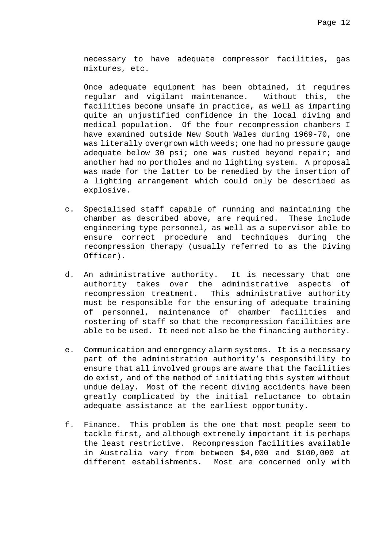necessary to have adequate compressor facilities, gas mixtures, etc.

Once adequate equipment has been obtained, it requires regular and vigilant maintenance. Without this, the facilities become unsafe in practice, as well as imparting quite an unjustified confidence in the local diving and medical population. Of the four recompression chambers I have examined outside New South Wales during 1969-70, one was literally overgrown with weeds; one had no pressure gauge adequate below 30 psi; one was rusted beyond repair; and another had no portholes and no lighting system. A proposal was made for the latter to be remedied by the insertion of a lighting arrangement which could only be described as explosive.

- c. Specialised staff capable of running and maintaining the chamber as described above, are required. These include engineering type personnel, as well as a supervisor able to ensure correct procedure and techniques during the recompression therapy (usually referred to as the Diving Officer).
- d. An administrative authority. It is necessary that one authority takes over the administrative aspects of recompression treatment. This administrative authority must be responsible for the ensuring of adequate training of personnel, maintenance of chamber facilities and rostering of staff so that the recompression facilities are able to be used. It need not also be the financing authority.
- e. Communication and emergency alarm systems. It is a necessary part of the administration authority's responsibility to ensure that all involved groups are aware that the facilities do exist, and of the method of initiating this system without undue delay. Most of the recent diving accidents have been greatly complicated by the initial reluctance to obtain adequate assistance at the earliest opportunity.
- f. Finance. This problem is the one that most people seem to tackle first, and although extremely important it is perhaps the least restrictive. Recompression facilities available in Australia vary from between \$4,000 and \$100,000 at different establishments. Most are concerned only with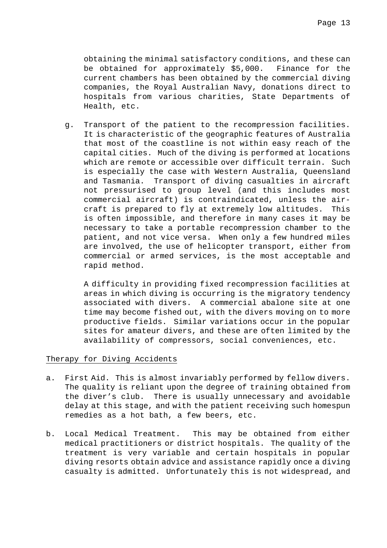obtaining the minimal satisfactory conditions, and these can be obtained for approximately \$5,000. Finance for the current chambers has been obtained by the commercial diving companies, the Royal Australian Navy, donations direct to hospitals from various charities, State Departments of Health, etc.

g. Transport of the patient to the recompression facilities. It is characteristic of the geographic features of Australia that most of the coastline is not within easy reach of the capital cities. Much of the diving is performed at locations which are remote or accessible over difficult terrain. Such is especially the case with Western Australia, Queensland and Tasmania. Transport of diving casualties in aircraft not pressurised to group level (and this includes most commercial aircraft) is contraindicated, unless the aircraft is prepared to fly at extremely low altitudes. This is often impossible, and therefore in many cases it may be necessary to take a portable recompression chamber to the patient, and not vice versa. When only a few hundred miles are involved, the use of helicopter transport, either from commercial or armed services, is the most acceptable and rapid method.

A difficulty in providing fixed recompression facilities at areas in which diving is occurring is the migratory tendency associated with divers. A commercial abalone site at one time may become fished out, with the divers moving on to more productive fields. Similar variations occur in the popular sites for amateur divers, and these are often limited by the availability of compressors, social conveniences, etc.

# Therapy for Diving Accidents

- a. First Aid. This is almost invariably performed by fellow divers. The quality is reliant upon the degree of training obtained from the diver's club. There is usually unnecessary and avoidable delay at this stage, and with the patient receiving such homespun remedies as a hot bath, a few beers, etc.
- b. Local Medical Treatment. This may be obtained from either medical practitioners or district hospitals. The quality of the treatment is very variable and certain hospitals in popular diving resorts obtain advice and assistance rapidly once a diving casualty is admitted. Unfortunately this is not widespread, and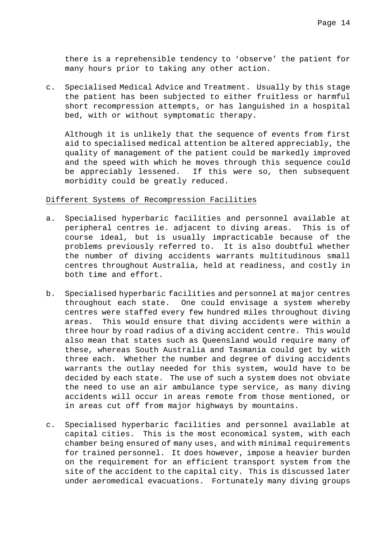there is a reprehensible tendency to 'observe' the patient for many hours prior to taking any other action.

c. Specialised Medical Advice and Treatment. Usually by this stage the patient has been subjected to either fruitless or harmful short recompression attempts, or has languished in a hospital bed, with or without symptomatic therapy.

Although it is unlikely that the sequence of events from first aid to specialised medical attention be altered appreciably, the quality of management of the patient could be markedly improved and the speed with which he moves through this sequence could be appreciably lessened. If this were so, then subsequent morbidity could be greatly reduced.

# Different Systems of Recompression Facilities

- a. Specialised hyperbaric facilities and personnel available at peripheral centres ie. adjacent to diving areas. This is of course ideal, but is usually impracticable because of the problems previously referred to. It is also doubtful whether the number of diving accidents warrants multitudinous small centres throughout Australia, held at readiness, and costly in both time and effort.
- b. Specialised hyperbaric facilities and personnel at major centres throughout each state. One could envisage a system whereby centres were staffed every few hundred miles throughout diving areas. This would ensure that diving accidents were within a three hour by road radius of a diving accident centre. This would also mean that states such as Queensland would require many of these, whereas South Australia and Tasmania could get by with three each. Whether the number and degree of diving accidents warrants the outlay needed for this system, would have to be decided by each state. The use of such a system does not obviate the need to use an air ambulance type service, as many diving accidents will occur in areas remote from those mentioned, or in areas cut off from major highways by mountains.
- c. Specialised hyperbaric facilities and personnel available at capital cities. This is the most economical system, with each chamber being ensured of many uses, and with minimal requirements for trained personnel. It does however, impose a heavier burden on the requirement for an efficient transport system from the site of the accident to the capital city. This is discussed later under aeromedical evacuations. Fortunately many diving groups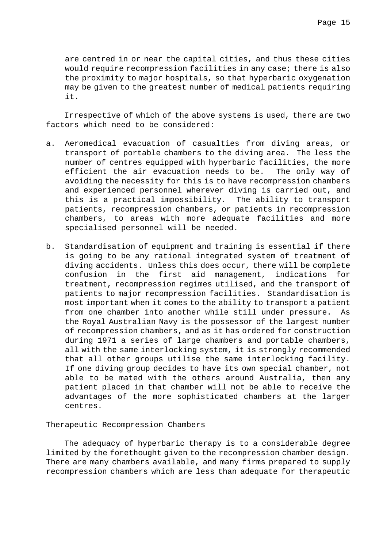are centred in or near the capital cities, and thus these cities would require recompression facilities in any case; there is also the proximity to major hospitals, so that hyperbaric oxygenation may be given to the greatest number of medical patients requiring it.

Irrespective of which of the above systems is used, there are two factors which need to be considered:

- a. Aeromedical evacuation of casualties from diving areas, or transport of portable chambers to the diving area. The less the number of centres equipped with hyperbaric facilities, the more efficient the air evacuation needs to be. The only way of avoiding the necessity for this is to have recompression chambers and experienced personnel wherever diving is carried out, and this is a practical impossibility. The ability to transport patients, recompression chambers, or patients in recompression chambers, to areas with more adequate facilities and more specialised personnel will be needed.
- b. Standardisation of equipment and training is essential if there is going to be any rational integrated system of treatment of diving accidents. Unless this does occur, there will be complete confusion in the first aid management, indications for treatment, recompression regimes utilised, and the transport of patients to major recompression facilities. Standardisation is most important when it comes to the ability to transport a patient from one chamber into another while still under pressure. As the Royal Australian Navy is the possessor of the largest number of recompression chambers, and as it has ordered for construction during 1971 a series of large chambers and portable chambers, all with the same interlocking system, it is strongly recommended that all other groups utilise the same interlocking facility. If one diving group decides to have its own special chamber, not able to be mated with the others around Australia, then any patient placed in that chamber will not be able to receive the advantages of the more sophisticated chambers at the larger centres.

# Therapeutic Recompression Chambers

The adequacy of hyperbaric therapy is to a considerable degree limited by the forethought given to the recompression chamber design. There are many chambers available, and many firms prepared to supply recompression chambers which are less than adequate for therapeutic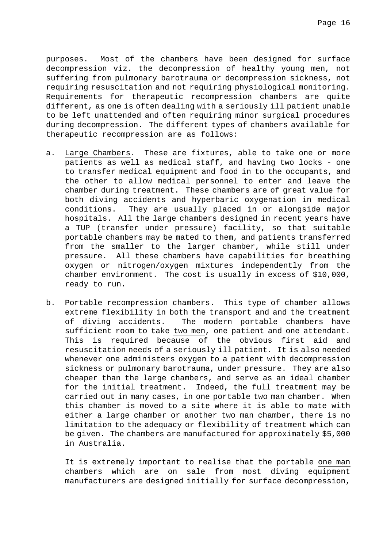purposes. Most of the chambers have been designed for surface decompression viz. the decompression of healthy young men, not suffering from pulmonary barotrauma or decompression sickness, not requiring resuscitation and not requiring physiological monitoring. Requirements for therapeutic recompression chambers are quite different, as one is often dealing with a seriously ill patient unable to be left unattended and often requiring minor surgical procedures during decompression. The different types of chambers available for therapeutic recompression are as follows:

- a. Large Chambers. These are fixtures, able to take one or more patients as well as medical staff, and having two locks - one to transfer medical equipment and food in to the occupants, and the other to allow medical personnel to enter and leave the chamber during treatment. These chambers are of great value for both diving accidents and hyperbaric oxygenation in medical conditions. They are usually placed in or alongside major hospitals. All the large chambers designed in recent years have a TUP (transfer under pressure) facility, so that suitable portable chambers may be mated to them, and patients transferred from the smaller to the larger chamber, while still under pressure. All these chambers have capabilities for breathing oxygen or nitrogen/oxygen mixtures independently from the chamber environment. The cost is usually in excess of \$10,000, ready to run.
- b. Portable recompression chambers. This type of chamber allows extreme flexibility in both the transport and and the treatment of diving accidents. The modern portable chambers have sufficient room to take two men, one patient and one attendant. This is required because of the obvious first aid and resuscitation needs of a seriously ill patient. It is also needed whenever one administers oxygen to a patient with decompression sickness or pulmonary barotrauma, under pressure. They are also cheaper than the large chambers, and serve as an ideal chamber for the initial treatment. Indeed, the full treatment may be carried out in many cases, in one portable two man chamber. When this chamber is moved to a site where it is able to mate with either a large chamber or another two man chamber, there is no limitation to the adequacy or flexibility of treatment which can be given. The chambers are manufactured for approximately \$5,000 in Australia.

It is extremely important to realise that the portable one man chambers which are on sale from most diving equipment manufacturers are designed initially for surface decompression,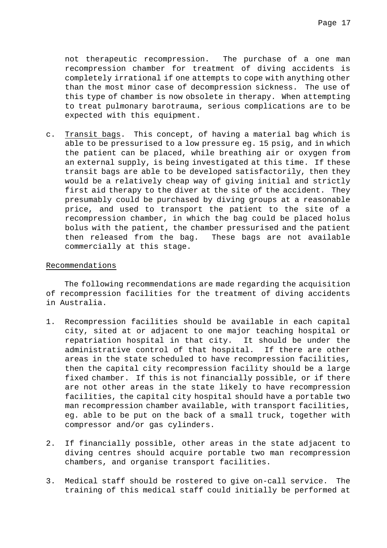not therapeutic recompression. The purchase of a one man recompression chamber for treatment of diving accidents is completely irrational if one attempts to cope with anything other than the most minor case of decompression sickness. The use of this type of chamber is now obsolete in therapy. When attempting to treat pulmonary barotrauma, serious complications are to be expected with this equipment.

c. Transit bags. This concept, of having a material bag which is able to be pressurised to a low pressure eg. 15 psig, and in which the patient can be placed, while breathing air or oxygen from an external supply, is being investigated at this time. If these transit bags are able to be developed satisfactorily, then they would be a relatively cheap way of giving initial and strictly first aid therapy to the diver at the site of the accident. They presumably could be purchased by diving groups at a reasonable price, and used to transport the patient to the site of a recompression chamber, in which the bag could be placed holus bolus with the patient, the chamber pressurised and the patient then released from the bag. These bags are not available commercially at this stage.

# Recommendations

The following recommendations are made regarding the acquisition of recompression facilities for the treatment of diving accidents in Australia.

- 1. Recompression facilities should be available in each capital city, sited at or adjacent to one major teaching hospital or repatriation hospital in that city. It should be under the administrative control of that hospital. If there are other areas in the state scheduled to have recompression facilities, then the capital city recompression facility should be a large fixed chamber. If this is not financially possible, or if there are not other areas in the state likely to have recompression facilities, the capital city hospital should have a portable two man recompression chamber available, with transport facilities, eg. able to be put on the back of a small truck, together with compressor and/or gas cylinders.
- 2. If financially possible, other areas in the state adjacent to diving centres should acquire portable two man recompression chambers, and organise transport facilities.
- 3. Medical staff should be rostered to give on-call service. The training of this medical staff could initially be performed at